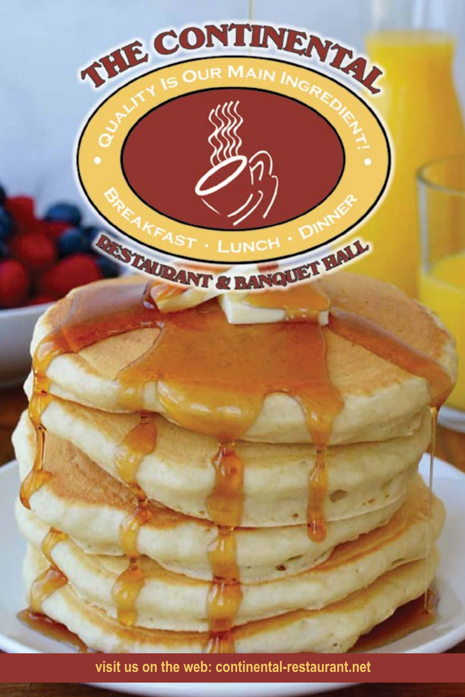

**visit us on the web: continental-restaurant.net**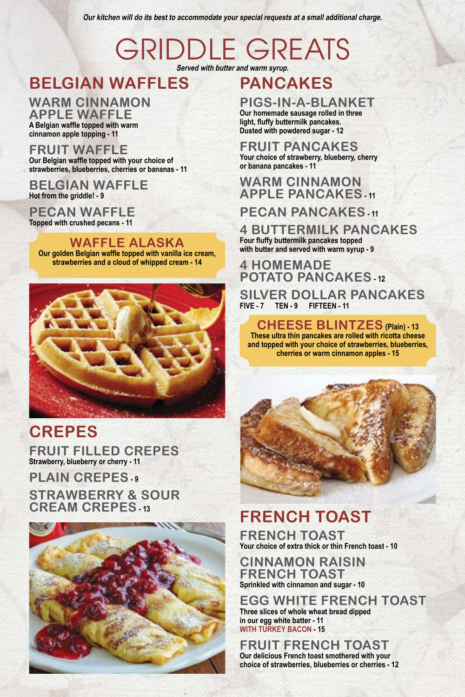**Our kitchen will do its best to accommodate your special requests at a small additional charge.**

## GRIDDLE GREATS **Served with butter and warm syrup.**

## **BELGIAN WAFFLES**

**WARM CINNAMON APPLE WAFFLE A Belgian waffle topped with warm cinnamon apple topping - 11**

#### **FRUIT WAFFLE Our Belgian waffle topped with your choice of strawberries, blueberries, cherries or bananas - 11**

**BELGIAN WAFFLE Hot from the griddle! - 9**

**PECAN WAFFLE Topped with crushed pecans - 11**

**WAFFLE ALASKA Our golden Belgian waffle topped with vanilla ice cream, strawberries and a cloud of whipped cream - 14**



## **CREPES**

**FRUIT FILLED CREPES Strawberry, blueberry or cherry - 11**

**PLAIN CREPES STRAWBERRY & SOUR CREAM CREPES - 13**



## **PANCAKES**

## **PIGS-IN-A-BLANKET**

**Our homemade sausage rolled in three light, fluffy buttermilk pancakes. Dusted with powdered sugar - 12**

#### **FRUIT PANCAKES Your choice of strawberry, blueberry, cherry**

#### **or banana pancakes - 11 WARM CINNAMON APPLE PANCAKES - 11**

## **PECAN PANCAKES**

**4 BUTTERMILK PANCAKES Four fluffy buttermilk pancakes topped with butter and served with warm syrup - 9**

### **4 HOMEMADE POTATO PANCAKES** - 12

**SILVER DOLLAR PANCAKES FIVE - 7 TEN - 9 FIFTEEN - 11**

**CHEESE BLINTZES (Plain) - 13 These ultra thin pancakes are rolled with ricotta cheese and topped with your choice of strawberries, blueberries, cherries or warm cinnamon apples - 15**



## **FRENCH TOAST**

**FRENCH TOAST Your choice of extra thick or thin French toast - 10**

**CINNAMON RAISIN FRENCH TOAST Sprinkled with cinnamon and sugar - 10**

**EGG WHITE FRENCH TOAST Three slices of whole wheat bread dipped in our egg white batter - 11 WITH TURKEY BACON - 15**

**FRUIT FRENCH TOAST Our delicious French toast smothered with your choice of strawberries, blueberries or cherries - 12**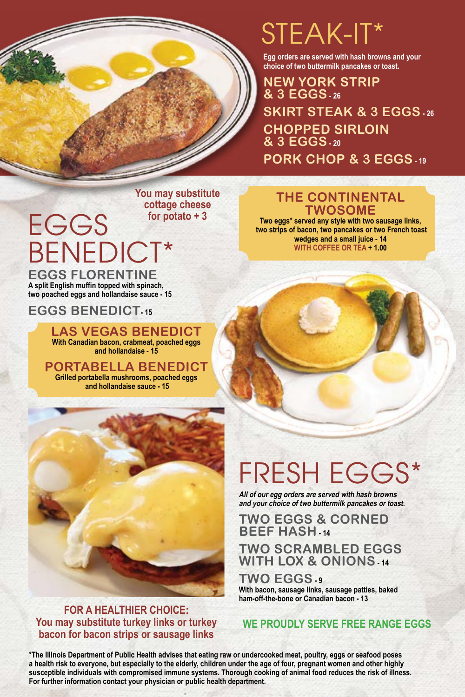

# STEAK-IT\*

**Egg orders are served with hash browns and your choice of two buttermilk pancakes or toast.**

**NEW YORK STRIP & 3 EGGS - 26 SKIRT STEAK & 3 EGGS - 26 CHOPPED SIRLOIN & 3 EGGS - 20 PORK CHOP & 3 EGGS - 19**

**You may substitute cottage cheese for potato + 3**

# EGGS BENEDICT\* **EGGS FLORENTINE**

**A split English muffin topped with spinach, two poached eggs and hollandaise sauce - 15**

### **EGGS BENEDICT- 15**

**LAS VEGAS BENEDICT With Canadian bacon, crabmeat, poached eggs and hollandaise - 15**

**PORTABELLA BENEDICT Grilled portabella mushrooms, poached eggs and hollandaise sauce - 15**



#### **FOR A HEALTHIER CHOICE: You may substitute turkey links or turkey bacon for bacon strips or sausage links**

### **THE CONTINENTAL TWOSOME**

**Two eggs\* served any style with two sausage links, two strips of bacon, two pancakes or two French toast wedges and a small juice - 14 WITH COFFEE OR TEA + 1.00**

# FRESH EGGS\*

**All of our egg orders are served with hash browns and your choice of two buttermilk pancakes or toast.**

**TWO EGGS & CORNED BEEF HASH** - 14

### **TWO SCRAMBLED EGGS WITH LOX & ONIONS - 14**

**TWO EGGS - 9 With bacon, sausage links, sausage patties, baked ham-off-the-bone or Canadian bacon - 13**

### **WE PROUDLY SERVE FREE RANGE EGGS**

**\*The Illinois Department of Public Health advises that eating raw or undercooked meat, poultry, eggs or seafood poses a health risk to everyone, but especially to the elderly, children under the age of four, pregnant women and other highly susceptible individuals with compromised immune systems. Thorough cooking of animal food reduces the risk of illness. For further information contact your physician or public health department.**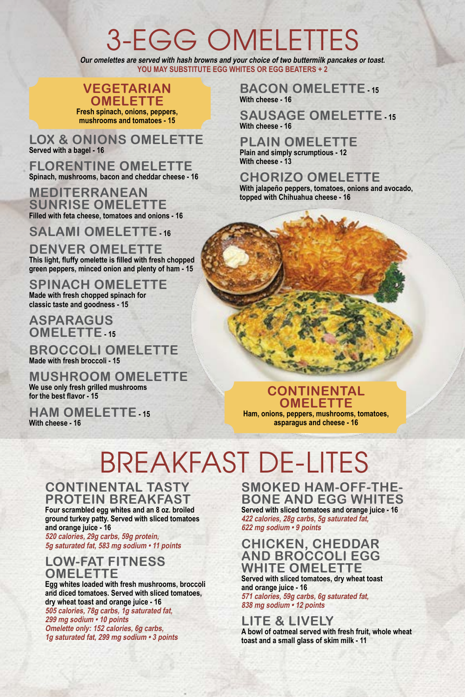# 3-EGG OMELETTES

**Our omelettes are served with hash browns and your choice of two buttermilk pancakes or toast. YOU MAY SUBSTITUTE EGG WHITES OR EGG BEATERS + 2**

## **VEGETARIAN**

**OMELETTE Fresh spinach, onions, peppers, mushrooms and tomatoes - 15**

**LOX & ONIONS OMELETTE Served with a bagel - 16**

**FLORENTINE OMELETTE Spinach, mushrooms, bacon and cheddar cheese - 16**

**MEDITERRANEAN SUNRISE OMELETTE Filled with feta cheese, tomatoes and onions - 16**

**SALAMI OMELETTE**<sub>-16</sub>

**DENVER OMELETTE This light, fluffy omelette is filled with fresh chopped green peppers, minced onion and plenty of ham - 15**

**SPINACH OMELETTE Made with fresh chopped spinach for classic taste and goodness - 15**

**ASPARAGUS OMELETTE - 15**

**BROCCOLI OMELETTE Made with fresh broccoli - 15**

**MUSHROOM OMELETTE We use only fresh grilled mushrooms for the best flavor - 15**

**HAM OMELETTE** 15 **With cheese - 16**

**BACON OMELETTE - 15 With cheese - 16**

**SAUSAGE OMELETTE** 15 **With cheese - 16**

**PLAIN OMELETTE Plain and simply scrumptious - 12 With cheese - 13**

**CHORIZO OMELETTE With jalapeño peppers, tomatoes, onions and avocado, topped with Chihuahua cheese - 16**

**CONTINENTAL OMELETTE Ham, onions, peppers, mushrooms, tomatoes, asparagus and cheese - 16**

# BREAKFAST DE-LITES

**CONTINENTAL TASTY PROTEIN BREAKFAST**

**Four scrambled egg whites and an 8 oz. broiled ground turkey patty. Served with sliced tomatoes and orange juice - 16**

**520 calories, 29g carbs, 59g protein, 5g saturated fat, 583 mg sodium • 11 points**

### **LOW-FAT FITNESS OMELETTE**

**Egg whites loaded with fresh mushrooms, broccoli and diced tomatoes. Served with sliced tomatoes, dry wheat toast and orange juice - 16 505 calories, 78g carbs, 1g saturated fat, 299 mg sodium • 10 points Omelette only: 152 calories, 6g carbs, 1g saturated fat, 299 mg sodium • 3 points**

**SMOKED HAM-OFF-THE-BONE AND EGG WHITES Served with sliced tomatoes and orange juice - 16 422 calories, 28g carbs, 5g saturated fat, 622 mg sodium • 9 points**

#### **CHICKEN, CHEDDAR AND BROCCOLI EGG WHITE OMELETTE**

**Served with sliced tomatoes, dry wheat toast and orange juice - 16 571 calories, 59g carbs, 6g saturated fat, 838 mg sodium • 12 points**

### **LITE & LIVELY**

**A bowl of oatmeal served with fresh fruit, whole wheat toast and a small glass of skim milk - 11**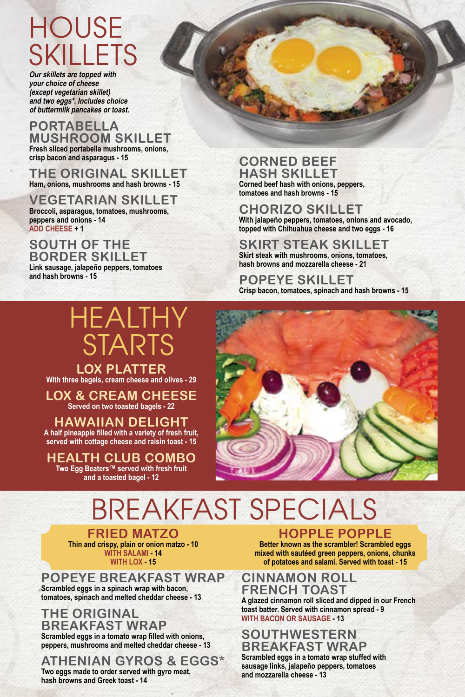# **HOUSE** SKILLETS

**Our skillets are topped with your choice of cheese (except vegetarian skillet) and two eggs\*. Includes choice of buttermilk pancakes or toast.**

#### **PORTABELLA MUSHROOM SKILLET Fresh sliced portabella mushrooms, onions,**

**crisp bacon and asparagus - 15**

**THE ORIGINAL SKILLET Ham, onions, mushrooms and hash browns - 15**

**VEGETARIAN SKILLET Broccoli, asparagus, tomatoes, mushrooms, peppers and onions - 14 ADD CHEESE + 1**

**SOUTH OF THE BORDER SKILLET**

**Link sausage, jalapeño peppers, tomatoes and hash browns - 15**

# HEALTHY STARTS

**LOX PLATTER With three bagels, cream cheese and olives - 29**

**LOX & CREAM CHEESE Served on two toasted bagels - 22**

**HAWAIIAN DELIGHT A half pineapple filled with a variety of fresh fruit,** 

**served with cottage cheese and raisin toast - 15**

**HEALTH CLUB COMBO Two Egg Beaters™ served with fresh fruit and a toasted bagel - 12**

#### **CORNED BEEF HASH SKILLET Corned beef hash with onions, peppers, tomatoes and hash browns - 15**

**CHORIZO SKILLET With jalapeño peppers, tomatoes, onions and avocado, topped with Chihuahua cheese and two eggs - 16**

**SKIRT STEAK SKILLET Skirt steak with mushrooms, onions, tomatoes, hash browns and mozzarella cheese - 21**

**POPEYE SKILLET Crisp bacon, tomatoes, spinach and hash browns - 15**



# BREAKFAST SPECIALS

**FRIED MATZO Thin and crispy, plain or onion matzo - 10 WITH SALAMI - 14 WITH LOX - 15**

**POPEYE BREAKFAST WRAP Scrambled eggs in a spinach wrap with bacon, tomatoes, spinach and melted cheddar cheese - 13**

**THE ORIGINAL BREAKFAST WRAP Scrambled eggs in a tomato wrap filled with onions, peppers, mushrooms and melted cheddar cheese - 13**

**ATHENIAN GYROS & EGGS\* Two eggs made to order served with gyro meat, hash browns and Greek toast - 14**

### **HOPPLE POPPLE**

**Better known as the scrambler! Scrambled eggs mixed with sautéed green peppers, onions, chunks of potatoes and salami. Served with toast - 15**

### **CINNAMON ROLL FRENCH TOAST**

**A glazed cinnamon roll sliced and dipped in our French toast batter. Served with cinnamon spread - 9 WITH BACON OR SAUSAGE - 13**

### **SOUTHWESTERN BREAKFAST WRAP**

**Scrambled eggs in a tomato wrap stuffed with sausage links, jalapeño peppers, tomatoes and mozzarella cheese - 13**